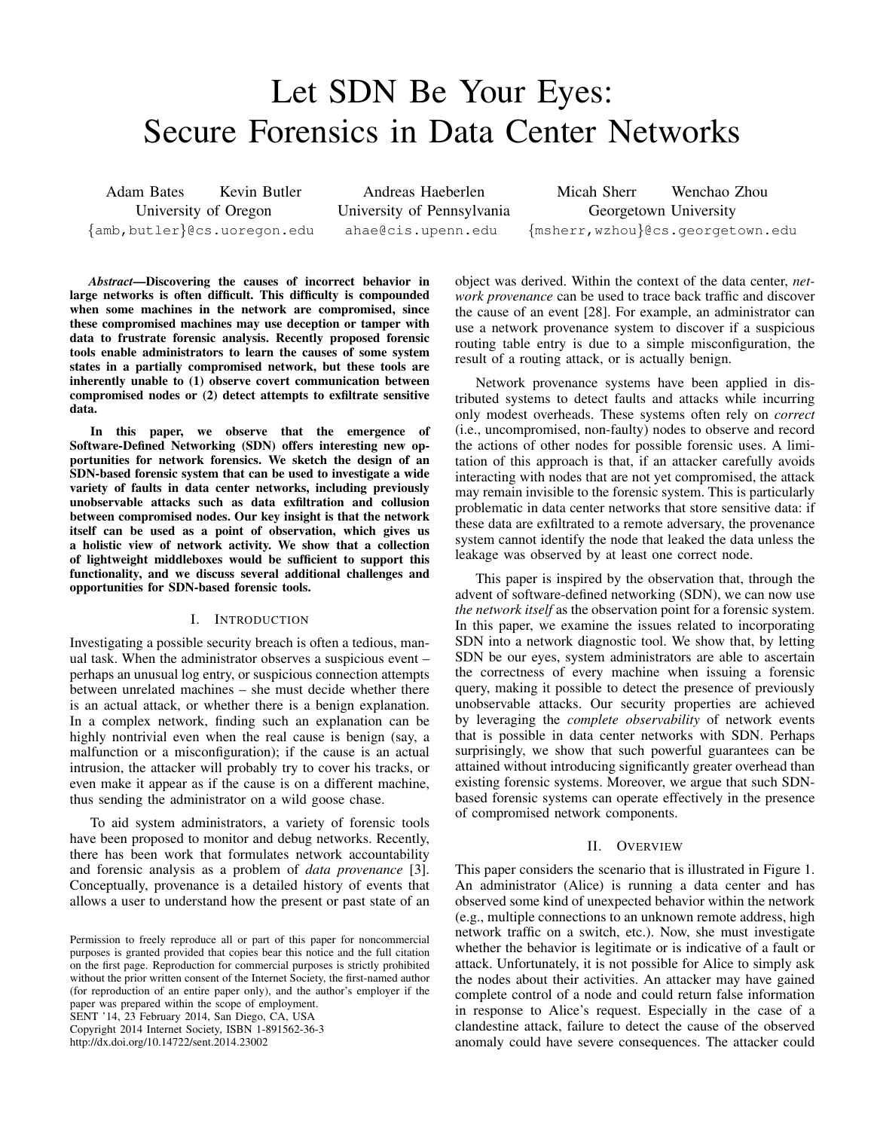# Let SDN Be Your Eyes: Secure Forensics in Data Center Networks

Adam Bates Kevin Butler University of Oregon *{*amb,butler*}*@cs.uoregon.edu

Andreas Haeberlen University of Pennsylvania ahae@cis.upenn.edu

Micah Sherr Wenchao Zhou Georgetown University *{*msherr,wzhou*}*@cs.georgetown.edu

*Abstract*—Discovering the causes of incorrect behavior in large networks is often difficult. This difficulty is compounded when some machines in the network are compromised, since these compromised machines may use deception or tamper with data to frustrate forensic analysis. Recently proposed forensic tools enable administrators to learn the causes of some system states in a partially compromised network, but these tools are inherently unable to (1) observe covert communication between compromised nodes or (2) detect attempts to exfiltrate sensitive data.

In this paper, we observe that the emergence of Software-Defined Networking (SDN) offers interesting new opportunities for network forensics. We sketch the design of an SDN-based forensic system that can be used to investigate a wide variety of faults in data center networks, including previously unobservable attacks such as data exfiltration and collusion between compromised nodes. Our key insight is that the network itself can be used as a point of observation, which gives us a holistic view of network activity. We show that a collection of lightweight middleboxes would be sufficient to support this functionality, and we discuss several additional challenges and opportunities for SDN-based forensic tools.

# I. INTRODUCTION

Investigating a possible security breach is often a tedious, manual task. When the administrator observes a suspicious event – perhaps an unusual log entry, or suspicious connection attempts between unrelated machines – she must decide whether there is an actual attack, or whether there is a benign explanation. In a complex network, finding such an explanation can be highly nontrivial even when the real cause is benign (say, a malfunction or a misconfiguration); if the cause is an actual intrusion, the attacker will probably try to cover his tracks, or even make it appear as if the cause is on a different machine, thus sending the administrator on a wild goose chase.

To aid system administrators, a variety of forensic tools have been proposed to monitor and debug networks. Recently, there has been work that formulates network accountability and forensic analysis as a problem of *data provenance* [\[3\]](#page-5-0). Conceptually, provenance is a detailed history of events that allows a user to understand how the present or past state of an

SENT '14, 23 February 2014, San Diego, CA, USA Copyright 2014 Internet Society, ISBN 1-891562-36-3 http://dx.doi.org/10.14722/sent.2014.23002

object was derived. Within the context of the data center, *network provenance* can be used to trace back traffic and discover the cause of an event [\[28\]](#page-6-0). For example, an administrator can use a network provenance system to discover if a suspicious routing table entry is due to a simple misconfiguration, the result of a routing attack, or is actually benign.

Network provenance systems have been applied in distributed systems to detect faults and attacks while incurring only modest overheads. These systems often rely on *correct* (i.e., uncompromised, non-faulty) nodes to observe and record the actions of other nodes for possible forensic uses. A limitation of this approach is that, if an attacker carefully avoids interacting with nodes that are not yet compromised, the attack may remain invisible to the forensic system. This is particularly problematic in data center networks that store sensitive data: if these data are exfiltrated to a remote adversary, the provenance system cannot identify the node that leaked the data unless the leakage was observed by at least one correct node.

This paper is inspired by the observation that, through the advent of software-defined networking (SDN), we can now use *the network itself* as the observation point for a forensic system. In this paper, we examine the issues related to incorporating SDN into a network diagnostic tool. We show that, by letting SDN be our eyes, system administrators are able to ascertain the correctness of every machine when issuing a forensic query, making it possible to detect the presence of previously unobservable attacks. Our security properties are achieved by leveraging the *complete observability* of network events that is possible in data center networks with SDN. Perhaps surprisingly, we show that such powerful guarantees can be attained without introducing significantly greater overhead than existing forensic systems. Moreover, we argue that such SDNbased forensic systems can operate effectively in the presence of compromised network components.

#### II. OVERVIEW

This paper considers the scenario that is illustrated in Figure [1.](#page-1-0) An administrator (Alice) is running a data center and has observed some kind of unexpected behavior within the network (e.g., multiple connections to an unknown remote address, high network traffic on a switch, etc.). Now, she must investigate whether the behavior is legitimate or is indicative of a fault or attack. Unfortunately, it is not possible for Alice to simply ask the nodes about their activities. An attacker may have gained complete control of a node and could return false information in response to Alice's request. Especially in the case of a clandestine attack, failure to detect the cause of the observed anomaly could have severe consequences. The attacker could

Permission to freely reproduce all or part of this paper for noncommercial purposes is granted provided that copies bear this notice and the full citation on the first page. Reproduction for commercial purposes is strictly prohibited without the prior written consent of the Internet Society, the first-named author (for reproduction of an entire paper only), and the author's employer if the paper was prepared within the scope of employment.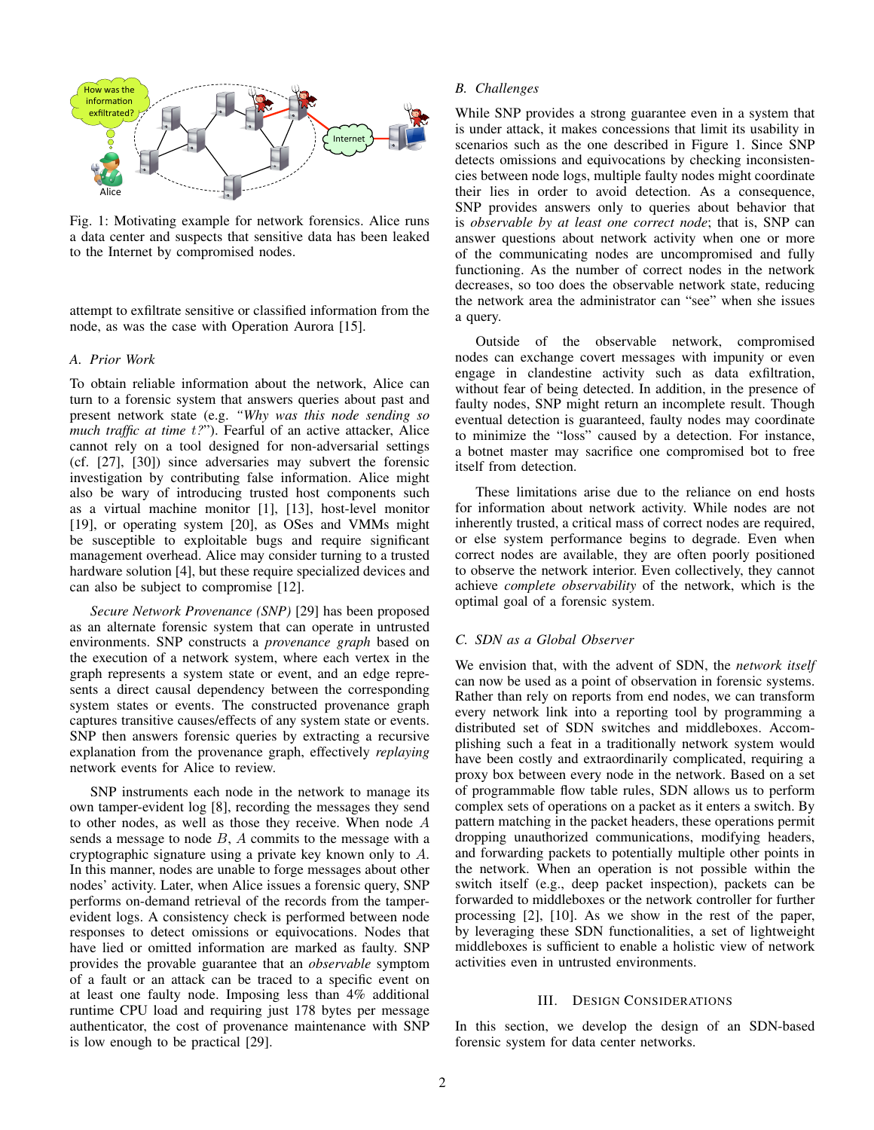<span id="page-1-0"></span>

Fig. 1: Motivating example for network forensics. Alice runs a data center and suspects that sensitive data has been leaked to the Internet by compromised nodes.

attempt to exfiltrate sensitive or classified information from the node, as was the case with Operation Aurora [\[15\]](#page-5-1).

## *A. Prior Work*

To obtain reliable information about the network, Alice can turn to a forensic system that answers queries about past and present network state (e.g. *"Why was this node sending so much traffic at time t?*"). Fearful of an active attacker, Alice cannot rely on a tool designed for non-adversarial settings (cf. [\[27\]](#page-6-1), [\[30\]](#page-6-2)) since adversaries may subvert the forensic investigation by contributing false information. Alice might also be wary of introducing trusted host components such as a virtual machine monitor [\[1\]](#page-5-2), [\[13\]](#page-5-3), host-level monitor [\[19\]](#page-6-3), or operating system [\[20\]](#page-6-4), as OSes and VMMs might be susceptible to exploitable bugs and require significant management overhead. Alice may consider turning to a trusted hardware solution [\[4\]](#page-5-4), but these require specialized devices and can also be subject to compromise [\[12\]](#page-5-5).

*Secure Network Provenance (SNP)* [\[29\]](#page-6-5) has been proposed as an alternate forensic system that can operate in untrusted environments. SNP constructs a *provenance graph* based on the execution of a network system, where each vertex in the graph represents a system state or event, and an edge represents a direct causal dependency between the corresponding system states or events. The constructed provenance graph captures transitive causes/effects of any system state or events. SNP then answers forensic queries by extracting a recursive explanation from the provenance graph, effectively *replaying* network events for Alice to review.

SNP instruments each node in the network to manage its own tamper-evident log [\[8\]](#page-5-6), recording the messages they send to other nodes, as well as those they receive. When node *A* sends a message to node *B*, *A* commits to the message with a cryptographic signature using a private key known only to *A*. In this manner, nodes are unable to forge messages about other nodes' activity. Later, when Alice issues a forensic query, SNP performs on-demand retrieval of the records from the tamperevident logs. A consistency check is performed between node responses to detect omissions or equivocations. Nodes that have lied or omitted information are marked as faulty. SNP provides the provable guarantee that an *observable* symptom of a fault or an attack can be traced to a specific event on at least one faulty node. Imposing less than 4% additional runtime CPU load and requiring just 178 bytes per message authenticator, the cost of provenance maintenance with SNP is low enough to be practical [\[29\]](#page-6-5).

#### *B. Challenges*

While SNP provides a strong guarantee even in a system that is under attack, it makes concessions that limit its usability in scenarios such as the one described in Figure [1.](#page-1-0) Since SNP detects omissions and equivocations by checking inconsistencies between node logs, multiple faulty nodes might coordinate their lies in order to avoid detection. As a consequence, SNP provides answers only to queries about behavior that is *observable by at least one correct node*; that is, SNP can answer questions about network activity when one or more of the communicating nodes are uncompromised and fully functioning. As the number of correct nodes in the network decreases, so too does the observable network state, reducing the network area the administrator can "see" when she issues a query.

Outside of the observable network, compromised nodes can exchange covert messages with impunity or even engage in clandestine activity such as data exfiltration, without fear of being detected. In addition, in the presence of faulty nodes, SNP might return an incomplete result. Though eventual detection is guaranteed, faulty nodes may coordinate to minimize the "loss" caused by a detection. For instance, a botnet master may sacrifice one compromised bot to free itself from detection.

These limitations arise due to the reliance on end hosts for information about network activity. While nodes are not inherently trusted, a critical mass of correct nodes are required, or else system performance begins to degrade. Even when correct nodes are available, they are often poorly positioned to observe the network interior. Even collectively, they cannot achieve *complete observability* of the network, which is the optimal goal of a forensic system.

## <span id="page-1-1"></span>*C. SDN as a Global Observer*

We envision that, with the advent of SDN, the *network itself* can now be used as a point of observation in forensic systems. Rather than rely on reports from end nodes, we can transform every network link into a reporting tool by programming a distributed set of SDN switches and middleboxes. Accomplishing such a feat in a traditionally network system would have been costly and extraordinarily complicated, requiring a proxy box between every node in the network. Based on a set of programmable flow table rules, SDN allows us to perform complex sets of operations on a packet as it enters a switch. By pattern matching in the packet headers, these operations permit dropping unauthorized communications, modifying headers, and forwarding packets to potentially multiple other points in the network. When an operation is not possible within the switch itself (e.g., deep packet inspection), packets can be forwarded to middleboxes or the network controller for further processing [\[2\]](#page-5-7), [\[10\]](#page-5-8). As we show in the rest of the paper, by leveraging these SDN functionalities, a set of lightweight middleboxes is sufficient to enable a holistic view of network activities even in untrusted environments.

#### III. DESIGN CONSIDERATIONS

In this section, we develop the design of an SDN-based forensic system for data center networks.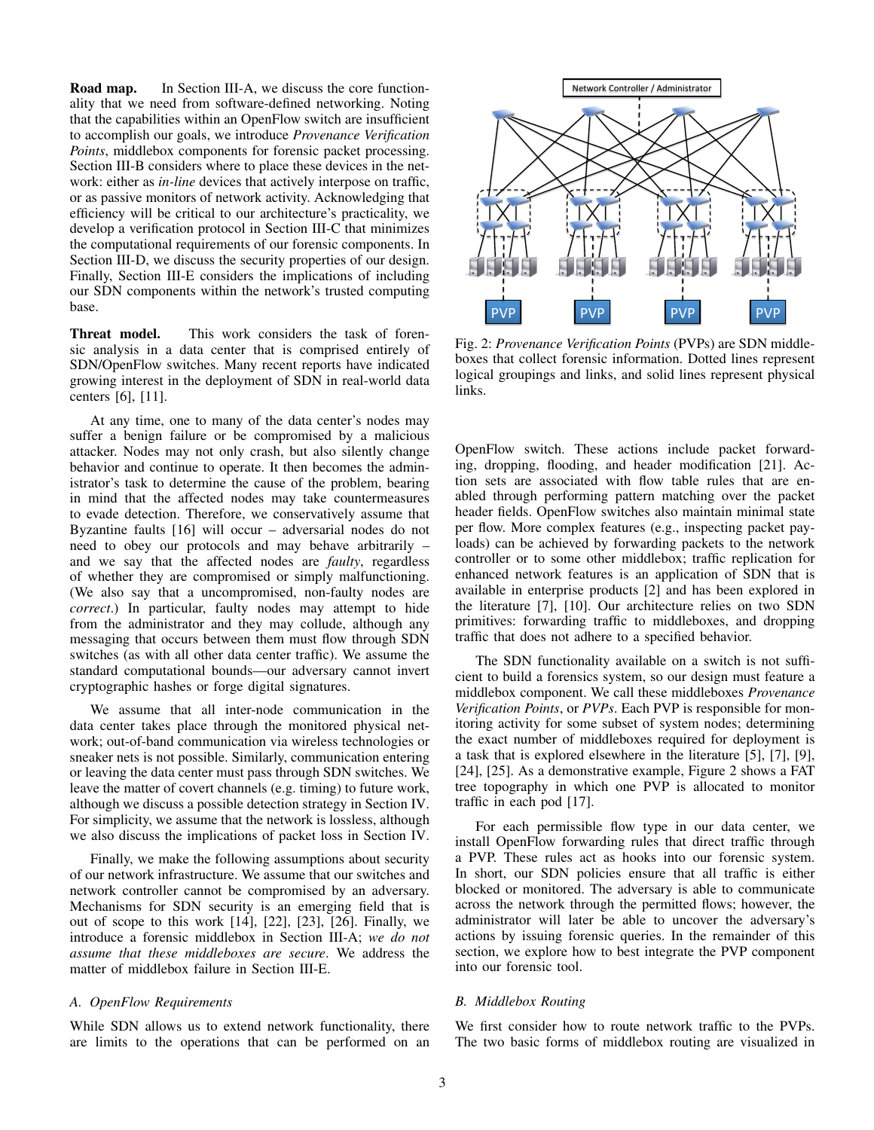Road map. In Section [III-A,](#page-2-0) we discuss the core functionality that we need from software-defined networking. Noting that the capabilities within an OpenFlow switch are insufficient to accomplish our goals, we introduce *Provenance Verification Points*, middlebox components for forensic packet processing. Section [III-B](#page-2-1) considers where to place these devices in the network: either as *in-line* devices that actively interpose on traffic, or as passive monitors of network activity. Acknowledging that efficiency will be critical to our architecture's practicality, we develop a verification protocol in Section [III-C](#page-3-0) that minimizes the computational requirements of our forensic components. In Section [III-D,](#page-4-0) we discuss the security properties of our design. Finally, Section [III-E](#page-4-1) considers the implications of including our SDN components within the network's trusted computing base.

Threat model. This work considers the task of forensic analysis in a data center that is comprised entirely of SDN/OpenFlow switches. Many recent reports have indicated growing interest in the deployment of SDN in real-world data centers [\[6\]](#page-5-9), [\[11\]](#page-5-10).

At any time, one to many of the data center's nodes may suffer a benign failure or be compromised by a malicious attacker. Nodes may not only crash, but also silently change behavior and continue to operate. It then becomes the administrator's task to determine the cause of the problem, bearing in mind that the affected nodes may take countermeasures to evade detection. Therefore, we conservatively assume that Byzantine faults [\[16\]](#page-5-11) will occur – adversarial nodes do not need to obey our protocols and may behave arbitrarily – and we say that the affected nodes are *faulty*, regardless of whether they are compromised or simply malfunctioning. (We also say that a uncompromised, non-faulty nodes are *correct*.) In particular, faulty nodes may attempt to hide from the administrator and they may collude, although any messaging that occurs between them must flow through SDN switches (as with all other data center traffic). We assume the standard computational bounds—our adversary cannot invert cryptographic hashes or forge digital signatures.

We assume that all inter-node communication in the data center takes place through the monitored physical network; out-of-band communication via wireless technologies or sneaker nets is not possible. Similarly, communication entering or leaving the data center must pass through SDN switches. We leave the matter of covert channels (e.g. timing) to future work, although we discuss a possible detection strategy in Section [IV.](#page-4-2) For simplicity, we assume that the network is lossless, although we also discuss the implications of packet loss in Section [IV.](#page-4-2)

Finally, we make the following assumptions about security of our network infrastructure. We assume that our switches and network controller cannot be compromised by an adversary. Mechanisms for SDN security is an emerging field that is out of scope to this work [\[14\]](#page-5-12), [\[22\]](#page-6-6), [\[23\]](#page-6-7), [\[26\]](#page-6-8). Finally, we introduce a forensic middlebox in Section [III-A;](#page-2-0) *we do not assume that these middleboxes are secure*. We address the matter of middlebox failure in Section [III-E.](#page-4-1)

# <span id="page-2-0"></span>*A. OpenFlow Requirements*

While SDN allows us to extend network functionality, there are limits to the operations that can be performed on an

<span id="page-2-2"></span>

Fig. 2: *Provenance Verification Points* (PVPs) are SDN middleboxes that collect forensic information. Dotted lines represent logical groupings and links, and solid lines represent physical links.

OpenFlow switch. These actions include packet forwarding, dropping, flooding, and header modification [\[21\]](#page-6-9). Action sets are associated with flow table rules that are enabled through performing pattern matching over the packet header fields. OpenFlow switches also maintain minimal state per flow. More complex features (e.g., inspecting packet payloads) can be achieved by forwarding packets to the network controller or to some other middlebox; traffic replication for enhanced network features is an application of SDN that is available in enterprise products [\[2\]](#page-5-7) and has been explored in the literature [\[7\]](#page-5-13), [\[10\]](#page-5-8). Our architecture relies on two SDN primitives: forwarding traffic to middleboxes, and dropping traffic that does not adhere to a specified behavior.

The SDN functionality available on a switch is not sufficient to build a forensics system, so our design must feature a middlebox component. We call these middleboxes *Provenance Verification Points*, or *PVPs*. Each PVP is responsible for monitoring activity for some subset of system nodes; determining the exact number of middleboxes required for deployment is a task that is explored elsewhere in the literature [\[5\]](#page-5-14), [\[7\]](#page-5-13), [\[9\]](#page-5-15), [\[24\]](#page-6-10), [\[25\]](#page-6-11). As a demonstrative example, Figure [2](#page-2-2) shows a FAT tree topography in which one PVP is allocated to monitor traffic in each pod [\[17\]](#page-5-16).

For each permissible flow type in our data center, we install OpenFlow forwarding rules that direct traffic through a PVP. These rules act as hooks into our forensic system. In short, our SDN policies ensure that all traffic is either blocked or monitored. The adversary is able to communicate across the network through the permitted flows; however, the administrator will later be able to uncover the adversary's actions by issuing forensic queries. In the remainder of this section, we explore how to best integrate the PVP component into our forensic tool.

#### <span id="page-2-1"></span>*B. Middlebox Routing*

We first consider how to route network traffic to the PVPs. The two basic forms of middlebox routing are visualized in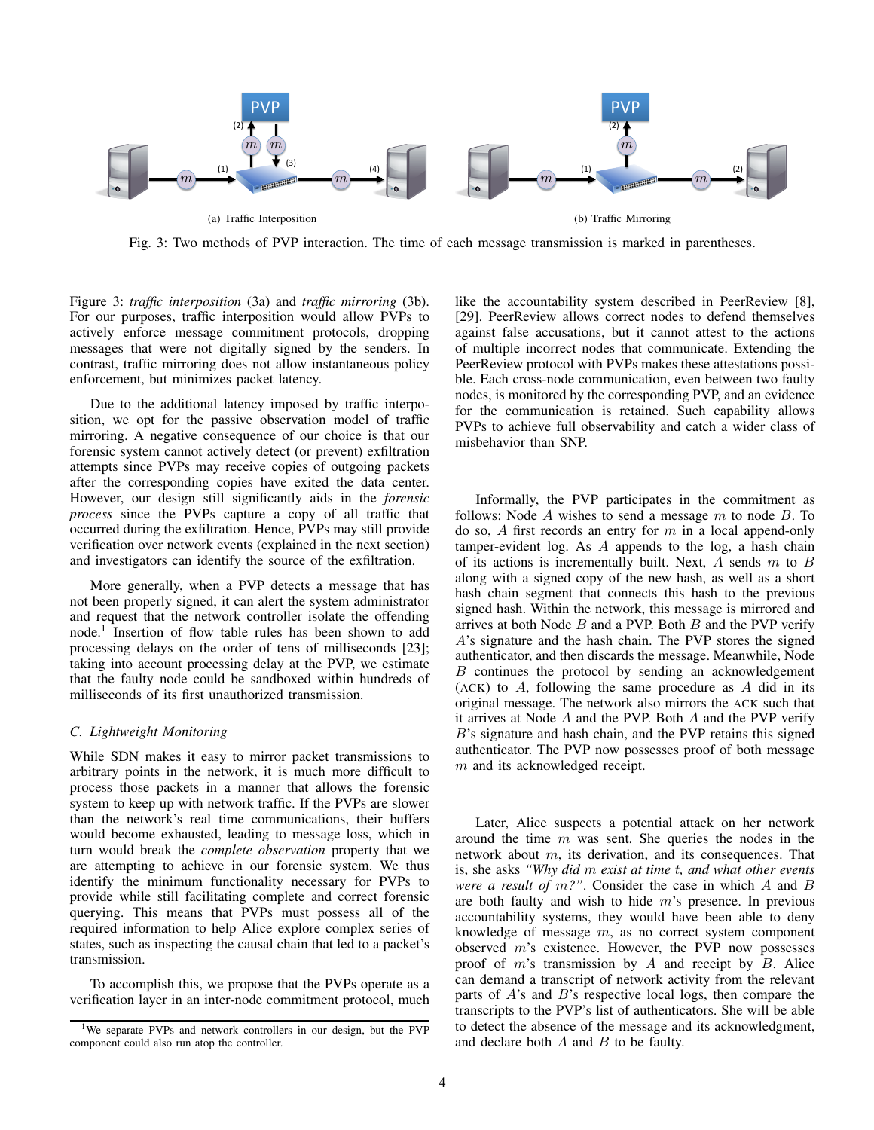<span id="page-3-2"></span><span id="page-3-1"></span>

Fig. 3: Two methods of PVP interaction. The time of each message transmission is marked in parentheses.

Figure [3:](#page-3-1) *traffic interposition* [\(3a\)](#page-3-2) and *traffic mirroring* [\(3b\)](#page-3-3). For our purposes, traffic interposition would allow PVPs to actively enforce message commitment protocols, dropping messages that were not digitally signed by the senders. In contrast, traffic mirroring does not allow instantaneous policy enforcement, but minimizes packet latency.

Due to the additional latency imposed by traffic interposition, we opt for the passive observation model of traffic mirroring. A negative consequence of our choice is that our forensic system cannot actively detect (or prevent) exfiltration attempts since PVPs may receive copies of outgoing packets after the corresponding copies have exited the data center. However, our design still significantly aids in the *forensic process* since the PVPs capture a copy of all traffic that occurred during the exfiltration. Hence, PVPs may still provide verification over network events (explained in the next section) and investigators can identify the source of the exfiltration.

More generally, when a PVP detects a message that has not been properly signed, it can alert the system administrator and request that the network controller isolate the offending node.<sup>[1](#page-3-4)</sup> Insertion of flow table rules has been shown to add processing delays on the order of tens of milliseconds [\[23\]](#page-6-7); taking into account processing delay at the PVP, we estimate that the faulty node could be sandboxed within hundreds of milliseconds of its first unauthorized transmission.

## <span id="page-3-0"></span>*C. Lightweight Monitoring*

While SDN makes it easy to mirror packet transmissions to arbitrary points in the network, it is much more difficult to process those packets in a manner that allows the forensic system to keep up with network traffic. If the PVPs are slower than the network's real time communications, their buffers would become exhausted, leading to message loss, which in turn would break the *complete observation* property that we are attempting to achieve in our forensic system. We thus identify the minimum functionality necessary for PVPs to provide while still facilitating complete and correct forensic querying. This means that PVPs must possess all of the required information to help Alice explore complex series of states, such as inspecting the causal chain that led to a packet's transmission.

To accomplish this, we propose that the PVPs operate as a verification layer in an inter-node commitment protocol, much <span id="page-3-3"></span>like the accountability system described in PeerReview [\[8\]](#page-5-6), [\[29\]](#page-6-5). PeerReview allows correct nodes to defend themselves against false accusations, but it cannot attest to the actions of multiple incorrect nodes that communicate. Extending the PeerReview protocol with PVPs makes these attestations possible. Each cross-node communication, even between two faulty nodes, is monitored by the corresponding PVP, and an evidence for the communication is retained. Such capability allows PVPs to achieve full observability and catch a wider class of misbehavior than SNP.

Informally, the PVP participates in the commitment as follows: Node *A* wishes to send a message *m* to node *B*. To do so, *A* first records an entry for *m* in a local append-only tamper-evident log. As *A* appends to the log, a hash chain of its actions is incrementally built. Next, *A* sends *m* to *B* along with a signed copy of the new hash, as well as a short hash chain segment that connects this hash to the previous signed hash. Within the network, this message is mirrored and arrives at both Node *B* and a PVP. Both *B* and the PVP verify *A*'s signature and the hash chain. The PVP stores the signed authenticator, and then discards the message. Meanwhile, Node *B* continues the protocol by sending an acknowledgement (ACK) to *A*, following the same procedure as *A* did in its original message. The network also mirrors the ACK such that it arrives at Node *A* and the PVP. Both *A* and the PVP verify *B*'s signature and hash chain, and the PVP retains this signed authenticator. The PVP now possesses proof of both message *m* and its acknowledged receipt.

Later, Alice suspects a potential attack on her network around the time *m* was sent. She queries the nodes in the network about *m*, its derivation, and its consequences. That is, she asks *"Why did m exist at time t, and what other events were a result of m?"*. Consider the case in which *A* and *B* are both faulty and wish to hide *m*'s presence. In previous accountability systems, they would have been able to deny knowledge of message *m*, as no correct system component observed *m*'s existence. However, the PVP now possesses proof of *m*'s transmission by *A* and receipt by *B*. Alice can demand a transcript of network activity from the relevant parts of *A*'s and *B*'s respective local logs, then compare the transcripts to the PVP's list of authenticators. She will be able to detect the absence of the message and its acknowledgment, and declare both *A* and *B* to be faulty.

<span id="page-3-4"></span><sup>&</sup>lt;sup>1</sup>We separate PVPs and network controllers in our design, but the PVP component could also run atop the controller.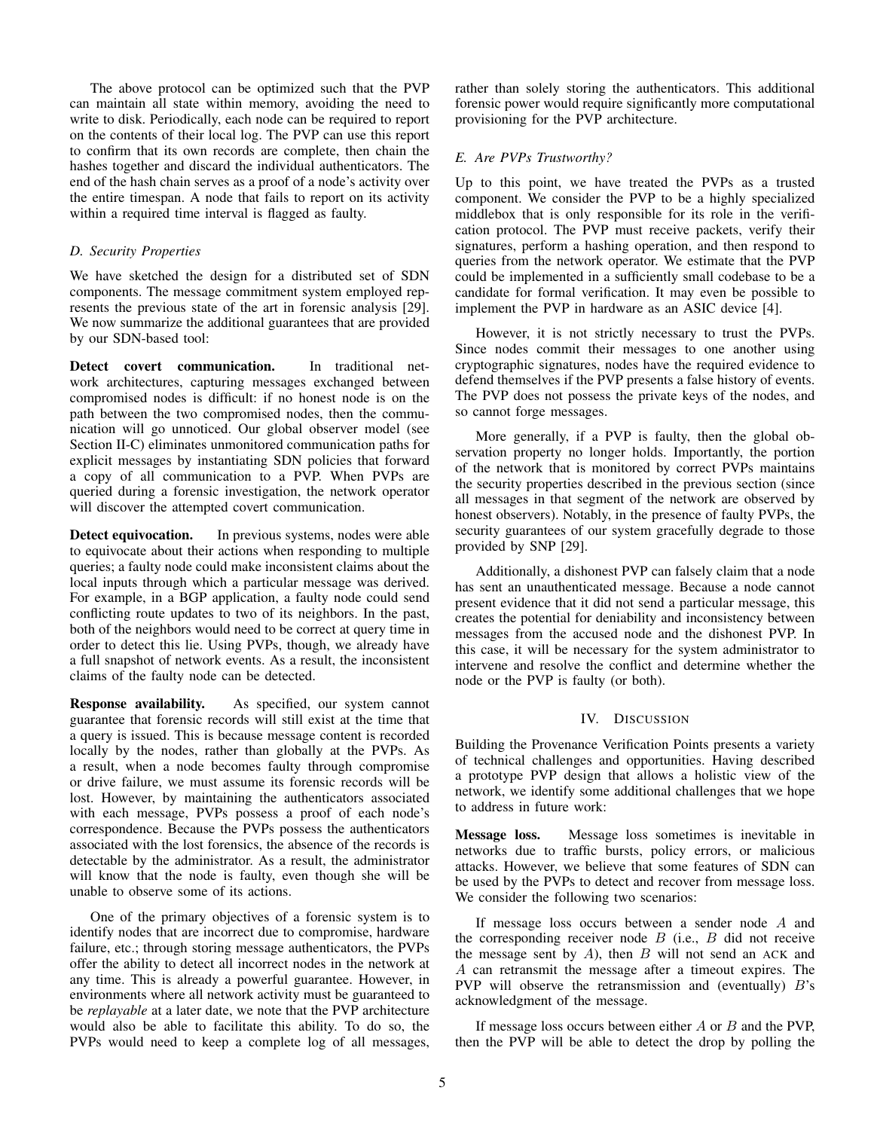The above protocol can be optimized such that the PVP can maintain all state within memory, avoiding the need to write to disk. Periodically, each node can be required to report on the contents of their local log. The PVP can use this report to confirm that its own records are complete, then chain the hashes together and discard the individual authenticators. The end of the hash chain serves as a proof of a node's activity over the entire timespan. A node that fails to report on its activity within a required time interval is flagged as faulty.

## <span id="page-4-0"></span>*D. Security Properties*

We have sketched the design for a distributed set of SDN components. The message commitment system employed represents the previous state of the art in forensic analysis [\[29\]](#page-6-5). We now summarize the additional guarantees that are provided by our SDN-based tool:

Detect covert communication. In traditional network architectures, capturing messages exchanged between compromised nodes is difficult: if no honest node is on the path between the two compromised nodes, then the communication will go unnoticed. Our global observer model (see Section [II-C\)](#page-1-1) eliminates unmonitored communication paths for explicit messages by instantiating SDN policies that forward a copy of all communication to a PVP. When PVPs are queried during a forensic investigation, the network operator will discover the attempted covert communication.

Detect equivocation. In previous systems, nodes were able to equivocate about their actions when responding to multiple queries; a faulty node could make inconsistent claims about the local inputs through which a particular message was derived. For example, in a BGP application, a faulty node could send conflicting route updates to two of its neighbors. In the past, both of the neighbors would need to be correct at query time in order to detect this lie. Using PVPs, though, we already have a full snapshot of network events. As a result, the inconsistent claims of the faulty node can be detected.

Response availability. As specified, our system cannot guarantee that forensic records will still exist at the time that a query is issued. This is because message content is recorded locally by the nodes, rather than globally at the PVPs. As a result, when a node becomes faulty through compromise or drive failure, we must assume its forensic records will be lost. However, by maintaining the authenticators associated with each message, PVPs possess a proof of each node's correspondence. Because the PVPs possess the authenticators associated with the lost forensics, the absence of the records is detectable by the administrator. As a result, the administrator will know that the node is faulty, even though she will be unable to observe some of its actions.

One of the primary objectives of a forensic system is to identify nodes that are incorrect due to compromise, hardware failure, etc.; through storing message authenticators, the PVPs offer the ability to detect all incorrect nodes in the network at any time. This is already a powerful guarantee. However, in environments where all network activity must be guaranteed to be *replayable* at a later date, we note that the PVP architecture would also be able to facilitate this ability. To do so, the PVPs would need to keep a complete log of all messages, rather than solely storing the authenticators. This additional forensic power would require significantly more computational provisioning for the PVP architecture.

## <span id="page-4-1"></span>*E. Are PVPs Trustworthy?*

Up to this point, we have treated the PVPs as a trusted component. We consider the PVP to be a highly specialized middlebox that is only responsible for its role in the verification protocol. The PVP must receive packets, verify their signatures, perform a hashing operation, and then respond to queries from the network operator. We estimate that the PVP could be implemented in a sufficiently small codebase to be a candidate for formal verification. It may even be possible to implement the PVP in hardware as an ASIC device [\[4\]](#page-5-4).

However, it is not strictly necessary to trust the PVPs. Since nodes commit their messages to one another using cryptographic signatures, nodes have the required evidence to defend themselves if the PVP presents a false history of events. The PVP does not possess the private keys of the nodes, and so cannot forge messages.

More generally, if a PVP is faulty, then the global observation property no longer holds. Importantly, the portion of the network that is monitored by correct PVPs maintains the security properties described in the previous section (since all messages in that segment of the network are observed by honest observers). Notably, in the presence of faulty PVPs, the security guarantees of our system gracefully degrade to those provided by SNP [\[29\]](#page-6-5).

Additionally, a dishonest PVP can falsely claim that a node has sent an unauthenticated message. Because a node cannot present evidence that it did not send a particular message, this creates the potential for deniability and inconsistency between messages from the accused node and the dishonest PVP. In this case, it will be necessary for the system administrator to intervene and resolve the conflict and determine whether the node or the PVP is faulty (or both).

## IV. DISCUSSION

<span id="page-4-2"></span>Building the Provenance Verification Points presents a variety of technical challenges and opportunities. Having described a prototype PVP design that allows a holistic view of the network, we identify some additional challenges that we hope to address in future work:

Message loss. Message loss sometimes is inevitable in networks due to traffic bursts, policy errors, or malicious attacks. However, we believe that some features of SDN can be used by the PVPs to detect and recover from message loss. We consider the following two scenarios:

If message loss occurs between a sender node *A* and the corresponding receiver node *B* (i.e., *B* did not receive the message sent by *A*), then *B* will not send an ACK and *A* can retransmit the message after a timeout expires. The PVP will observe the retransmission and (eventually) *B*'s acknowledgment of the message.

If message loss occurs between either *A* or *B* and the PVP, then the PVP will be able to detect the drop by polling the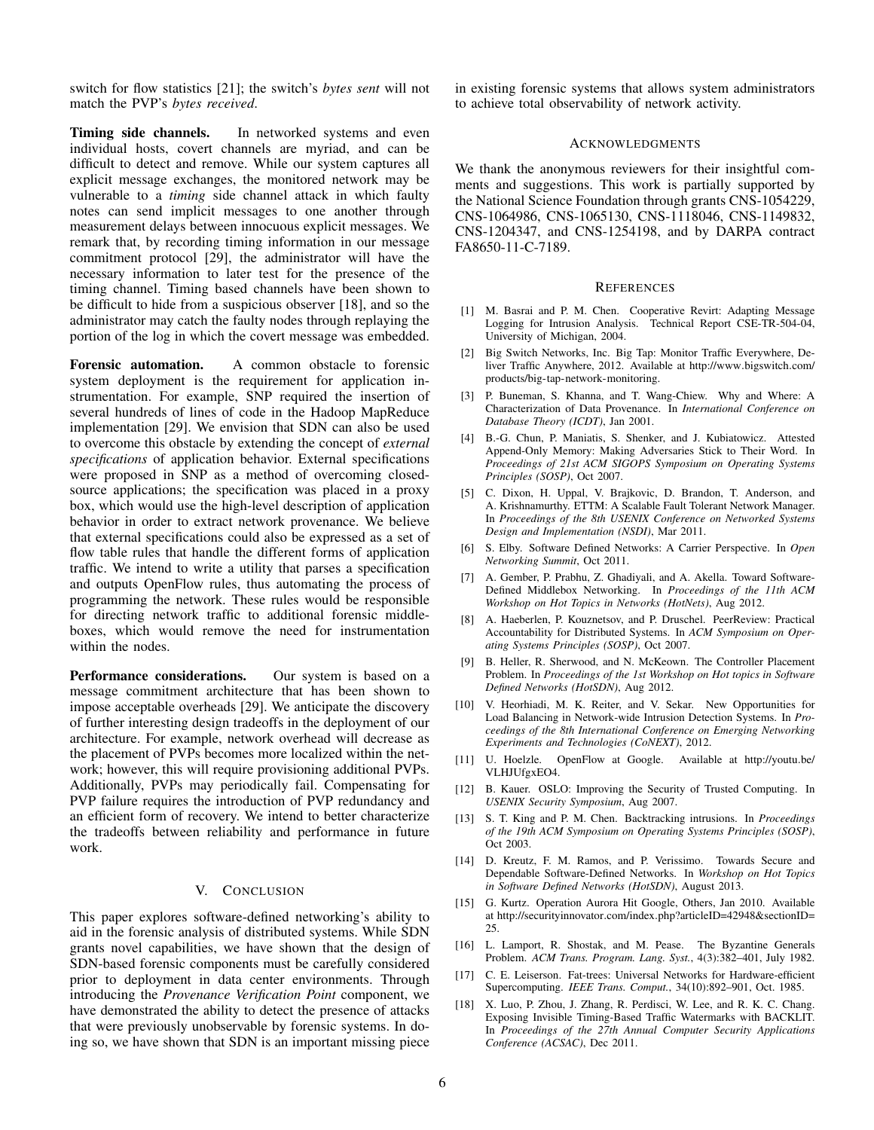switch for flow statistics [\[21\]](#page-6-9); the switch's *bytes sent* will not match the PVP's *bytes received*.

Timing side channels. In networked systems and even individual hosts, covert channels are myriad, and can be difficult to detect and remove. While our system captures all explicit message exchanges, the monitored network may be vulnerable to a *timing* side channel attack in which faulty notes can send implicit messages to one another through measurement delays between innocuous explicit messages. We remark that, by recording timing information in our message commitment protocol [\[29\]](#page-6-5), the administrator will have the necessary information to later test for the presence of the timing channel. Timing based channels have been shown to be difficult to hide from a suspicious observer [\[18\]](#page-5-17), and so the administrator may catch the faulty nodes through replaying the portion of the log in which the covert message was embedded.

Forensic automation. A common obstacle to forensic system deployment is the requirement for application instrumentation. For example, SNP required the insertion of several hundreds of lines of code in the Hadoop MapReduce implementation [\[29\]](#page-6-5). We envision that SDN can also be used to overcome this obstacle by extending the concept of *external specifications* of application behavior. External specifications were proposed in SNP as a method of overcoming closedsource applications; the specification was placed in a proxy box, which would use the high-level description of application behavior in order to extract network provenance. We believe that external specifications could also be expressed as a set of flow table rules that handle the different forms of application traffic. We intend to write a utility that parses a specification and outputs OpenFlow rules, thus automating the process of programming the network. These rules would be responsible for directing network traffic to additional forensic middleboxes, which would remove the need for instrumentation within the nodes.

**Performance considerations.** Our system is based on a message commitment architecture that has been shown to impose acceptable overheads [\[29\]](#page-6-5). We anticipate the discovery of further interesting design tradeoffs in the deployment of our architecture. For example, network overhead will decrease as the placement of PVPs becomes more localized within the network; however, this will require provisioning additional PVPs. Additionally, PVPs may periodically fail. Compensating for PVP failure requires the introduction of PVP redundancy and an efficient form of recovery. We intend to better characterize the tradeoffs between reliability and performance in future work.

## V. CONCLUSION

This paper explores software-defined networking's ability to aid in the forensic analysis of distributed systems. While SDN grants novel capabilities, we have shown that the design of SDN-based forensic components must be carefully considered prior to deployment in data center environments. Through introducing the *Provenance Verification Point* component, we have demonstrated the ability to detect the presence of attacks that were previously unobservable by forensic systems. In doing so, we have shown that SDN is an important missing piece in existing forensic systems that allows system administrators to achieve total observability of network activity.

#### ACKNOWLEDGMENTS

We thank the anonymous reviewers for their insightful comments and suggestions. This work is partially supported by the National Science Foundation through grants CNS-1054229, CNS-1064986, CNS-1065130, CNS-1118046, CNS-1149832, CNS-1204347, and CNS-1254198, and by DARPA contract FA8650-11-C-7189.

#### **REFERENCES**

- <span id="page-5-2"></span>[1] M. Basrai and P. M. Chen. Cooperative Revirt: Adapting Message Logging for Intrusion Analysis. Technical Report CSE-TR-504-04, University of Michigan, 2004.
- <span id="page-5-7"></span>[2] Big Switch Networks, Inc. Big Tap: Monitor Traffic Everywhere, Deliver Traffic Anywhere, 2012. Available at [http://www](http://www.bigswitch.com/products/big-tap-network-monitoring)*.*bigswitch*.*com/ [products/big-tap-network-monitoring.](http://www.bigswitch.com/products/big-tap-network-monitoring)
- <span id="page-5-0"></span>[3] P. Buneman, S. Khanna, and T. Wang-Chiew. Why and Where: A Characterization of Data Provenance. In *International Conference on Database Theory (ICDT)*, Jan 2001.
- <span id="page-5-4"></span>[4] B.-G. Chun, P. Maniatis, S. Shenker, and J. Kubiatowicz. Attested Append-Only Memory: Making Adversaries Stick to Their Word. In *Proceedings of 21st ACM SIGOPS Symposium on Operating Systems Principles (SOSP)*, Oct 2007.
- <span id="page-5-14"></span>[5] C. Dixon, H. Uppal, V. Brajkovic, D. Brandon, T. Anderson, and A. Krishnamurthy. ETTM: A Scalable Fault Tolerant Network Manager. In *Proceedings of the 8th USENIX Conference on Networked Systems Design and Implementation (NSDI)*, Mar 2011.
- <span id="page-5-9"></span>[6] S. Elby. Software Defined Networks: A Carrier Perspective. In *Open Networking Summit*, Oct 2011.
- <span id="page-5-13"></span>[7] A. Gember, P. Prabhu, Z. Ghadiyali, and A. Akella. Toward Software-Defined Middlebox Networking. In *Proceedings of the 11th ACM Workshop on Hot Topics in Networks (HotNets)*, Aug 2012.
- <span id="page-5-6"></span>[8] A. Haeberlen, P. Kouznetsov, and P. Druschel. PeerReview: Practical Accountability for Distributed Systems. In *ACM Symposium on Operating Systems Principles (SOSP)*, Oct 2007.
- <span id="page-5-15"></span>[9] B. Heller, R. Sherwood, and N. McKeown. The Controller Placement Problem. In *Proceedings of the 1st Workshop on Hot topics in Software Defined Networks (HotSDN)*, Aug 2012.
- <span id="page-5-8"></span>[10] V. Heorhiadi, M. K. Reiter, and V. Sekar. New Opportunities for Load Balancing in Network-wide Intrusion Detection Systems. In *Proceedings of the 8th International Conference on Emerging Networking Experiments and Technologies (CoNEXT)*, 2012.
- <span id="page-5-10"></span>[11] U. Hoelzle. OpenFlow at Google. Available at [http://youtu](http://youtu.be/VLHJUfgxEO4)*.*be/ [VLHJUfgxEO4.](http://youtu.be/VLHJUfgxEO4)
- <span id="page-5-5"></span>[12] B. Kauer. OSLO: Improving the Security of Trusted Computing. In *USENIX Security Symposium*, Aug 2007.
- <span id="page-5-3"></span>[13] S. T. King and P. M. Chen. Backtracking intrusions. In *Proceedings of the 19th ACM Symposium on Operating Systems Principles (SOSP)*, Oct 2003.
- <span id="page-5-12"></span>[14] D. Kreutz, F. M. Ramos, and P. Verissimo. Towards Secure and Dependable Software-Defined Networks. In *Workshop on Hot Topics in Software Defined Networks (HotSDN)*, August 2013.
- <span id="page-5-1"></span>[15] G. Kurtz. Operation Aurora Hit Google, Others, Jan 2010. Available at http://securityinnovator.com/index.[php?articleID=42948&sectionID=](http://securityinnovator.com/index.php?articleID=42948§ionID=25) [25.](http://securityinnovator.com/index.php?articleID=42948§ionID=25)
- <span id="page-5-11"></span>[16] L. Lamport, R. Shostak, and M. Pease. The Byzantine Generals Problem. *ACM Trans. Program. Lang. Syst.*, 4(3):382–401, July 1982.
- <span id="page-5-16"></span>[17] C. E. Leiserson. Fat-trees: Universal Networks for Hardware-efficient Supercomputing. *IEEE Trans. Comput.*, 34(10):892–901, Oct. 1985.
- <span id="page-5-17"></span>[18] X. Luo, P. Zhou, J. Zhang, R. Perdisci, W. Lee, and R. K. C. Chang. Exposing Invisible Timing-Based Traffic Watermarks with BACKLIT. In *Proceedings of the 27th Annual Computer Security Applications Conference (ACSAC)*, Dec 2011.